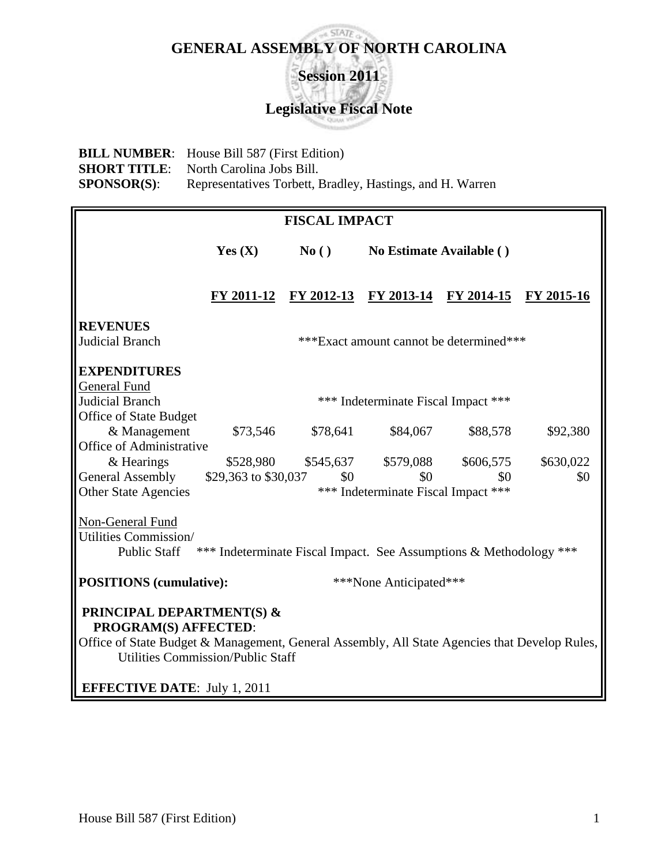#### $SIATE$ **GENERAL ASSEMBLY OF NORTH CAROLINA**

**Session 2011 Legislative Fiscal Note**

**BILL NUMBER**: House Bill 587 (First Edition) **SHORT TITLE:** North Carolina Jobs Bill. **SPONSOR(S):** Representatives Torbett, Bradley, Hastings, and H. Warren

| <b>FISCAL IMPACT</b>                                                                                                                                                                                      |                                                                    |               |                                             |           |            |  |  |
|-----------------------------------------------------------------------------------------------------------------------------------------------------------------------------------------------------------|--------------------------------------------------------------------|---------------|---------------------------------------------|-----------|------------|--|--|
|                                                                                                                                                                                                           | Yes $(X)$                                                          | $\bf{No}$ ( ) | No Estimate Available ()                    |           |            |  |  |
|                                                                                                                                                                                                           |                                                                    |               | FY 2011-12 FY 2012-13 FY 2013-14 FY 2014-15 |           | FY 2015-16 |  |  |
| <b>REVENUES</b>                                                                                                                                                                                           |                                                                    |               |                                             |           |            |  |  |
| Judicial Branch                                                                                                                                                                                           | ***Exact amount cannot be determined***                            |               |                                             |           |            |  |  |
| <b>EXPENDITURES</b>                                                                                                                                                                                       |                                                                    |               |                                             |           |            |  |  |
| <b>General Fund</b><br>Judicial Branch                                                                                                                                                                    | *** Indeterminate Fiscal Impact ***                                |               |                                             |           |            |  |  |
| Office of State Budget                                                                                                                                                                                    |                                                                    |               |                                             |           |            |  |  |
| & Management                                                                                                                                                                                              | \$73,546                                                           | \$78,641      | \$84,067                                    | \$88,578  | \$92,380   |  |  |
| <b>Office of Administrative</b>                                                                                                                                                                           |                                                                    |               |                                             |           |            |  |  |
| & Hearings                                                                                                                                                                                                | \$528,980                                                          | \$545,637     | \$579,088                                   | \$606,575 | \$630,022  |  |  |
| General Assembly                                                                                                                                                                                          | \$29,363 to \$30,037                                               | \$0           | \$0                                         | \$0       | \$0        |  |  |
| <b>Other State Agencies</b>                                                                                                                                                                               | *** Indeterminate Fiscal Impact ***                                |               |                                             |           |            |  |  |
| Non-General Fund<br>Utilities Commission/<br><b>Public Staff</b>                                                                                                                                          | *** Indeterminate Fiscal Impact. See Assumptions & Methodology *** |               |                                             |           |            |  |  |
| <b>POSITIONS</b> (cumulative):                                                                                                                                                                            |                                                                    |               | ***None Anticipated***                      |           |            |  |  |
| <b>PRINCIPAL DEPARTMENT(S) &amp;</b><br>PROGRAM(S) AFFECTED:<br>Office of State Budget & Management, General Assembly, All State Agencies that Develop Rules,<br><b>Utilities Commission/Public Staff</b> |                                                                    |               |                                             |           |            |  |  |
| <b>EFFECTIVE DATE: July 1, 2011</b>                                                                                                                                                                       |                                                                    |               |                                             |           |            |  |  |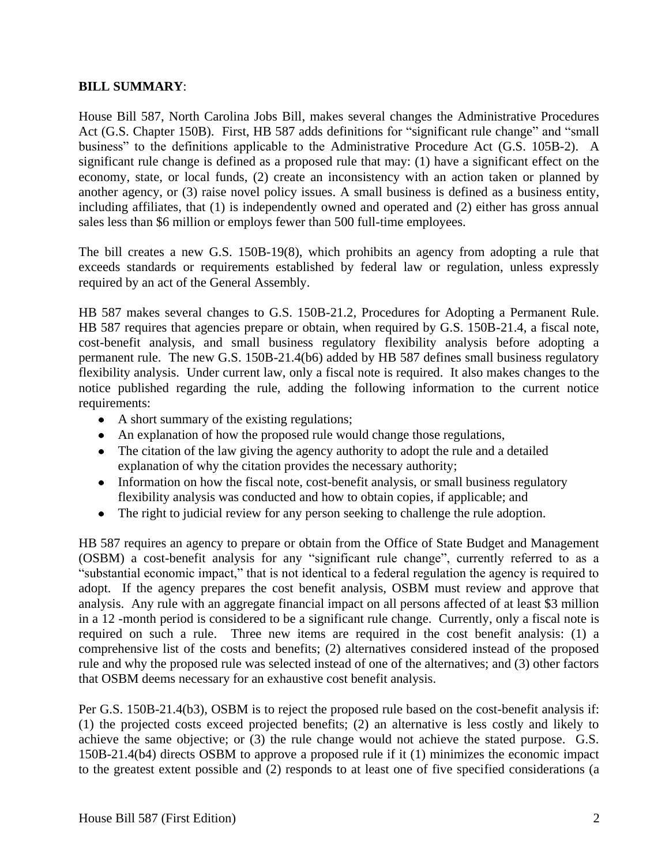### **BILL SUMMARY**:

House Bill 587, North Carolina Jobs Bill, makes several changes the Administrative Procedures Act (G.S. Chapter 150B). First, HB 587 adds definitions for "significant rule change" and "small business" to the definitions applicable to the Administrative Procedure Act (G.S. 105B-2). A significant rule change is defined as a proposed rule that may: (1) have a significant effect on the economy, state, or local funds, (2) create an inconsistency with an action taken or planned by another agency, or (3) raise novel policy issues. A small business is defined as a business entity, including affiliates, that (1) is independently owned and operated and (2) either has gross annual sales less than \$6 million or employs fewer than 500 full-time employees.

The bill creates a new G.S. 150B-19(8), which prohibits an agency from adopting a rule that exceeds standards or requirements established by federal law or regulation, unless expressly required by an act of the General Assembly.

HB 587 makes several changes to G.S. 150B-21.2, Procedures for Adopting a Permanent Rule. HB 587 requires that agencies prepare or obtain, when required by G.S. 150B-21.4, a fiscal note, cost-benefit analysis, and small business regulatory flexibility analysis before adopting a permanent rule. The new G.S. 150B-21.4(b6) added by HB 587 defines small business regulatory flexibility analysis. Under current law, only a fiscal note is required. It also makes changes to the notice published regarding the rule, adding the following information to the current notice requirements:

- A short summary of the existing regulations;
- An explanation of how the proposed rule would change those regulations,
- The citation of the law giving the agency authority to adopt the rule and a detailed explanation of why the citation provides the necessary authority;
- Information on how the fiscal note, cost-benefit analysis, or small business regulatory flexibility analysis was conducted and how to obtain copies, if applicable; and
- The right to judicial review for any person seeking to challenge the rule adoption.  $\bullet$

HB 587 requires an agency to prepare or obtain from the Office of State Budget and Management (OSBM) a cost-benefit analysis for any "significant rule change", currently referred to as a "substantial economic impact," that is not identical to a federal regulation the agency is required to adopt. If the agency prepares the cost benefit analysis, OSBM must review and approve that analysis. Any rule with an aggregate financial impact on all persons affected of at least \$3 million in a 12 -month period is considered to be a significant rule change. Currently, only a fiscal note is required on such a rule. Three new items are required in the cost benefit analysis: (1) a comprehensive list of the costs and benefits; (2) alternatives considered instead of the proposed rule and why the proposed rule was selected instead of one of the alternatives; and (3) other factors that OSBM deems necessary for an exhaustive cost benefit analysis.

Per G.S. 150B-21.4(b3), OSBM is to reject the proposed rule based on the cost-benefit analysis if: (1) the projected costs exceed projected benefits; (2) an alternative is less costly and likely to achieve the same objective; or (3) the rule change would not achieve the stated purpose. G.S. 150B-21.4(b4) directs OSBM to approve a proposed rule if it (1) minimizes the economic impact to the greatest extent possible and (2) responds to at least one of five specified considerations (a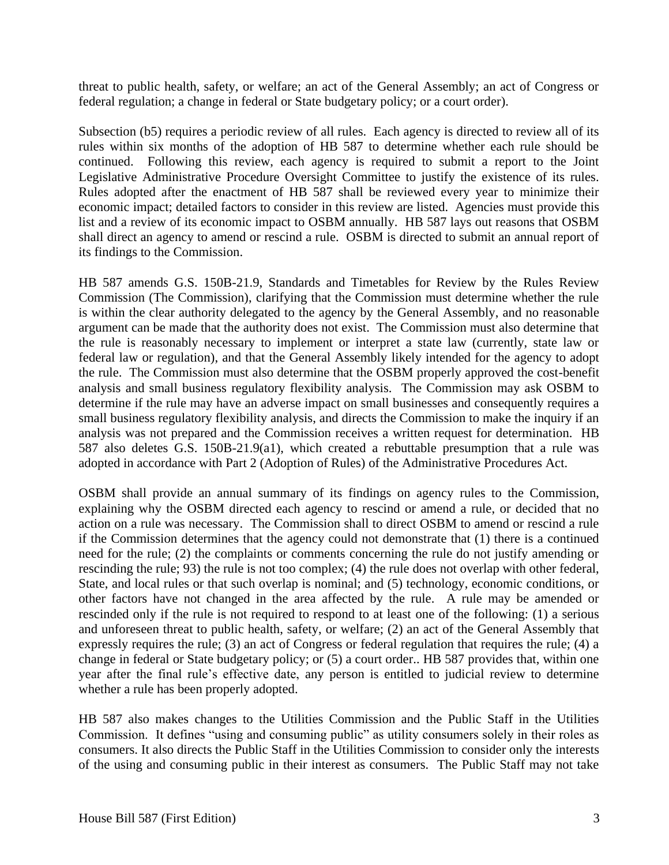threat to public health, safety, or welfare; an act of the General Assembly; an act of Congress or federal regulation; a change in federal or State budgetary policy; or a court order).

Subsection (b5) requires a periodic review of all rules. Each agency is directed to review all of its rules within six months of the adoption of HB 587 to determine whether each rule should be continued. Following this review, each agency is required to submit a report to the Joint Legislative Administrative Procedure Oversight Committee to justify the existence of its rules. Rules adopted after the enactment of HB 587 shall be reviewed every year to minimize their economic impact; detailed factors to consider in this review are listed. Agencies must provide this list and a review of its economic impact to OSBM annually. HB 587 lays out reasons that OSBM shall direct an agency to amend or rescind a rule. OSBM is directed to submit an annual report of its findings to the Commission.

HB 587 amends G.S. 150B-21.9, Standards and Timetables for Review by the Rules Review Commission (The Commission), clarifying that the Commission must determine whether the rule is within the clear authority delegated to the agency by the General Assembly, and no reasonable argument can be made that the authority does not exist. The Commission must also determine that the rule is reasonably necessary to implement or interpret a state law (currently, state law or federal law or regulation), and that the General Assembly likely intended for the agency to adopt the rule. The Commission must also determine that the OSBM properly approved the cost-benefit analysis and small business regulatory flexibility analysis. The Commission may ask OSBM to determine if the rule may have an adverse impact on small businesses and consequently requires a small business regulatory flexibility analysis, and directs the Commission to make the inquiry if an analysis was not prepared and the Commission receives a written request for determination. HB 587 also deletes G.S. 150B-21.9(a1), which created a rebuttable presumption that a rule was adopted in accordance with Part 2 (Adoption of Rules) of the Administrative Procedures Act.

OSBM shall provide an annual summary of its findings on agency rules to the Commission, explaining why the OSBM directed each agency to rescind or amend a rule, or decided that no action on a rule was necessary. The Commission shall to direct OSBM to amend or rescind a rule if the Commission determines that the agency could not demonstrate that (1) there is a continued need for the rule; (2) the complaints or comments concerning the rule do not justify amending or rescinding the rule; 93) the rule is not too complex; (4) the rule does not overlap with other federal, State, and local rules or that such overlap is nominal; and (5) technology, economic conditions, or other factors have not changed in the area affected by the rule. A rule may be amended or rescinded only if the rule is not required to respond to at least one of the following: (1) a serious and unforeseen threat to public health, safety, or welfare; (2) an act of the General Assembly that expressly requires the rule; (3) an act of Congress or federal regulation that requires the rule; (4) a change in federal or State budgetary policy; or (5) a court order.. HB 587 provides that, within one year after the final rule's effective date, any person is entitled to judicial review to determine whether a rule has been properly adopted.

HB 587 also makes changes to the Utilities Commission and the Public Staff in the Utilities Commission. It defines "using and consuming public" as utility consumers solely in their roles as consumers. It also directs the Public Staff in the Utilities Commission to consider only the interests of the using and consuming public in their interest as consumers. The Public Staff may not take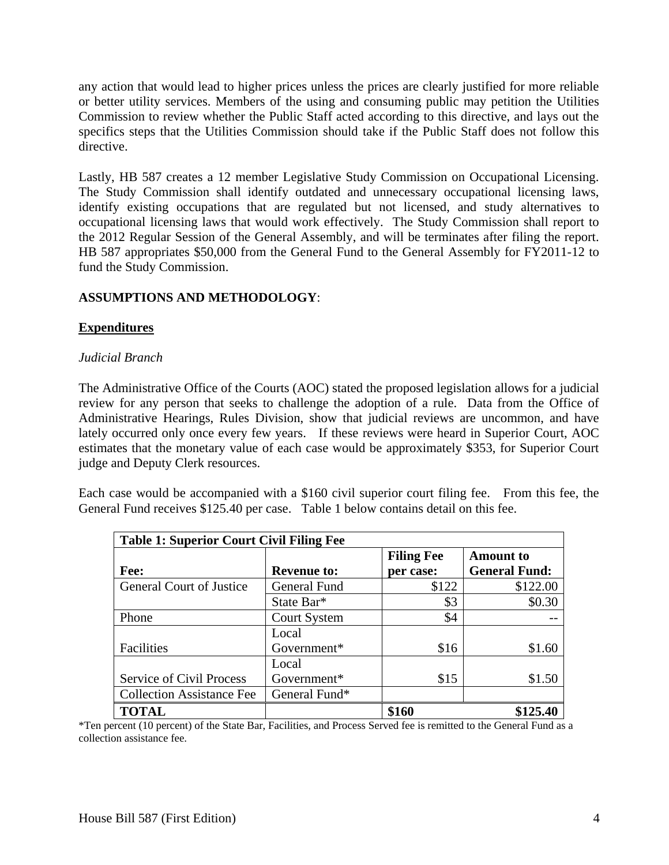any action that would lead to higher prices unless the prices are clearly justified for more reliable or better utility services. Members of the using and consuming public may petition the Utilities Commission to review whether the Public Staff acted according to this directive, and lays out the specifics steps that the Utilities Commission should take if the Public Staff does not follow this directive.

Lastly, HB 587 creates a 12 member Legislative Study Commission on Occupational Licensing. The Study Commission shall identify outdated and unnecessary occupational licensing laws, identify existing occupations that are regulated but not licensed, and study alternatives to occupational licensing laws that would work effectively. The Study Commission shall report to the 2012 Regular Session of the General Assembly, and will be terminates after filing the report. HB 587 appropriates \$50,000 from the General Fund to the General Assembly for FY2011-12 to fund the Study Commission.

# **ASSUMPTIONS AND METHODOLOGY**:

# **Expenditures**

### *Judicial Branch*

The Administrative Office of the Courts (AOC) stated the proposed legislation allows for a judicial review for any person that seeks to challenge the adoption of a rule. Data from the Office of Administrative Hearings, Rules Division, show that judicial reviews are uncommon, and have lately occurred only once every few years. If these reviews were heard in Superior Court, AOC estimates that the monetary value of each case would be approximately \$353, for Superior Court judge and Deputy Clerk resources.

Each case would be accompanied with a \$160 civil superior court filing fee. From this fee, the General Fund receives \$125.40 per case. Table 1 below contains detail on this fee.

| <b>Table 1: Superior Court Civil Filing Fee</b> |                     |                   |                      |  |  |  |
|-------------------------------------------------|---------------------|-------------------|----------------------|--|--|--|
|                                                 |                     | <b>Filing Fee</b> | <b>Amount</b> to     |  |  |  |
| Fee:                                            | <b>Revenue to:</b>  | per case:         | <b>General Fund:</b> |  |  |  |
| <b>General Court of Justice</b>                 | General Fund        | \$122             | \$122.00             |  |  |  |
|                                                 | State Bar*          | \$3               | \$0.30               |  |  |  |
| Phone                                           | <b>Court System</b> | \$4               |                      |  |  |  |
|                                                 | Local               |                   |                      |  |  |  |
| Facilities                                      | Government*         | \$16              | \$1.60               |  |  |  |
|                                                 | Local               |                   |                      |  |  |  |
| Service of Civil Process                        | Government*         | \$15              | \$1.50               |  |  |  |
| <b>Collection Assistance Fee</b>                | General Fund*       |                   |                      |  |  |  |
| <b>TOTAL</b>                                    |                     | \$160             | \$125.40             |  |  |  |

\*Ten percent (10 percent) of the State Bar, Facilities, and Process Served fee is remitted to the General Fund as a collection assistance fee.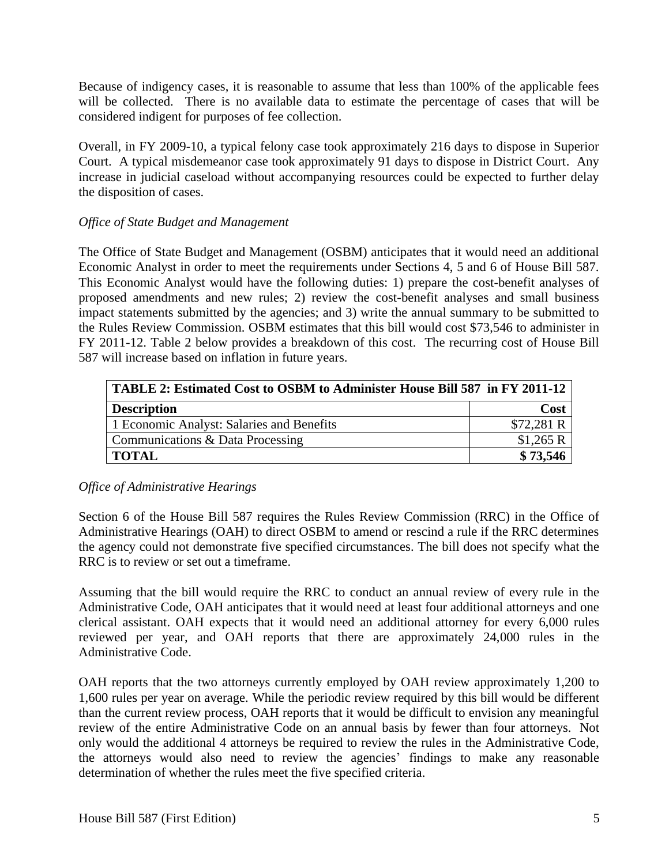Because of indigency cases, it is reasonable to assume that less than 100% of the applicable fees will be collected. There is no available data to estimate the percentage of cases that will be considered indigent for purposes of fee collection.

Overall, in FY 2009-10, a typical felony case took approximately 216 days to dispose in Superior Court. A typical misdemeanor case took approximately 91 days to dispose in District Court. Any increase in judicial caseload without accompanying resources could be expected to further delay the disposition of cases.

# *Office of State Budget and Management*

The Office of State Budget and Management (OSBM) anticipates that it would need an additional Economic Analyst in order to meet the requirements under Sections 4, 5 and 6 of House Bill 587. This Economic Analyst would have the following duties: 1) prepare the cost-benefit analyses of proposed amendments and new rules; 2) review the cost-benefit analyses and small business impact statements submitted by the agencies; and 3) write the annual summary to be submitted to the Rules Review Commission. OSBM estimates that this bill would cost \$73,546 to administer in FY 2011-12. Table 2 below provides a breakdown of this cost. The recurring cost of House Bill 587 will increase based on inflation in future years.

| TABLE 2: Estimated Cost to OSBM to Administer House Bill 587 in FY 2011-12 |            |  |  |  |
|----------------------------------------------------------------------------|------------|--|--|--|
| <b>Description</b>                                                         | Cost       |  |  |  |
| 1 Economic Analyst: Salaries and Benefits                                  | \$72,281 R |  |  |  |
| Communications & Data Processing                                           | \$1,265 R  |  |  |  |
| TOTAL                                                                      | \$73,546   |  |  |  |

# *Office of Administrative Hearings*

Section 6 of the House Bill 587 requires the Rules Review Commission (RRC) in the Office of Administrative Hearings (OAH) to direct OSBM to amend or rescind a rule if the RRC determines the agency could not demonstrate five specified circumstances. The bill does not specify what the RRC is to review or set out a timeframe.

Assuming that the bill would require the RRC to conduct an annual review of every rule in the Administrative Code, OAH anticipates that it would need at least four additional attorneys and one clerical assistant. OAH expects that it would need an additional attorney for every 6,000 rules reviewed per year, and OAH reports that there are approximately 24,000 rules in the Administrative Code.

OAH reports that the two attorneys currently employed by OAH review approximately 1,200 to 1,600 rules per year on average. While the periodic review required by this bill would be different than the current review process, OAH reports that it would be difficult to envision any meaningful review of the entire Administrative Code on an annual basis by fewer than four attorneys. Not only would the additional 4 attorneys be required to review the rules in the Administrative Code, the attorneys would also need to review the agencies' findings to make any reasonable determination of whether the rules meet the five specified criteria.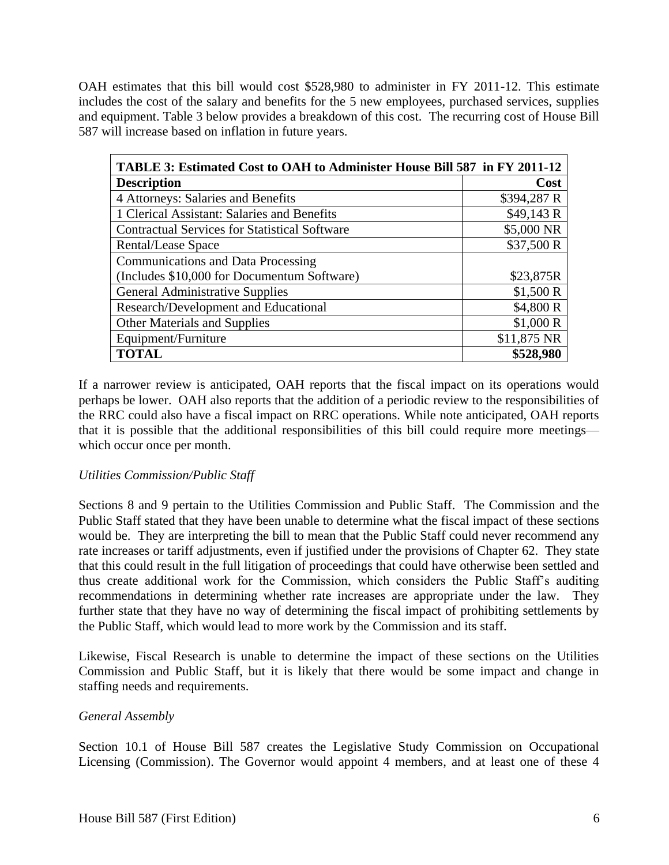OAH estimates that this bill would cost \$528,980 to administer in FY 2011-12. This estimate includes the cost of the salary and benefits for the 5 new employees, purchased services, supplies and equipment. Table 3 below provides a breakdown of this cost. The recurring cost of House Bill 587 will increase based on inflation in future years.

| TABLE 3: Estimated Cost to OAH to Administer House Bill 587 in FY 2011-12 |             |  |  |  |
|---------------------------------------------------------------------------|-------------|--|--|--|
| <b>Description</b>                                                        | Cost        |  |  |  |
| 4 Attorneys: Salaries and Benefits                                        | \$394,287 R |  |  |  |
| 1 Clerical Assistant: Salaries and Benefits                               | \$49,143 R  |  |  |  |
| <b>Contractual Services for Statistical Software</b>                      | \$5,000 NR  |  |  |  |
| Rental/Lease Space                                                        | \$37,500 R  |  |  |  |
| <b>Communications and Data Processing</b>                                 |             |  |  |  |
| (Includes \$10,000 for Documentum Software)                               | \$23,875R   |  |  |  |
| <b>General Administrative Supplies</b>                                    | \$1,500 R   |  |  |  |
| Research/Development and Educational                                      | \$4,800 R   |  |  |  |
| <b>Other Materials and Supplies</b>                                       | \$1,000 R   |  |  |  |
| Equipment/Furniture                                                       | \$11,875 NR |  |  |  |
| <b>TOTAL</b>                                                              | \$528,980   |  |  |  |

If a narrower review is anticipated, OAH reports that the fiscal impact on its operations would perhaps be lower. OAH also reports that the addition of a periodic review to the responsibilities of the RRC could also have a fiscal impact on RRC operations. While note anticipated, OAH reports that it is possible that the additional responsibilities of this bill could require more meetings which occur once per month.

#### *Utilities Commission/Public Staff*

Sections 8 and 9 pertain to the Utilities Commission and Public Staff. The Commission and the Public Staff stated that they have been unable to determine what the fiscal impact of these sections would be. They are interpreting the bill to mean that the Public Staff could never recommend any rate increases or tariff adjustments, even if justified under the provisions of Chapter 62. They state that this could result in the full litigation of proceedings that could have otherwise been settled and thus create additional work for the Commission, which considers the Public Staff's auditing recommendations in determining whether rate increases are appropriate under the law. They further state that they have no way of determining the fiscal impact of prohibiting settlements by the Public Staff, which would lead to more work by the Commission and its staff.

Likewise, Fiscal Research is unable to determine the impact of these sections on the Utilities Commission and Public Staff, but it is likely that there would be some impact and change in staffing needs and requirements.

# *General Assembly*

Section 10.1 of House Bill 587 creates the Legislative Study Commission on Occupational Licensing (Commission). The Governor would appoint 4 members, and at least one of these 4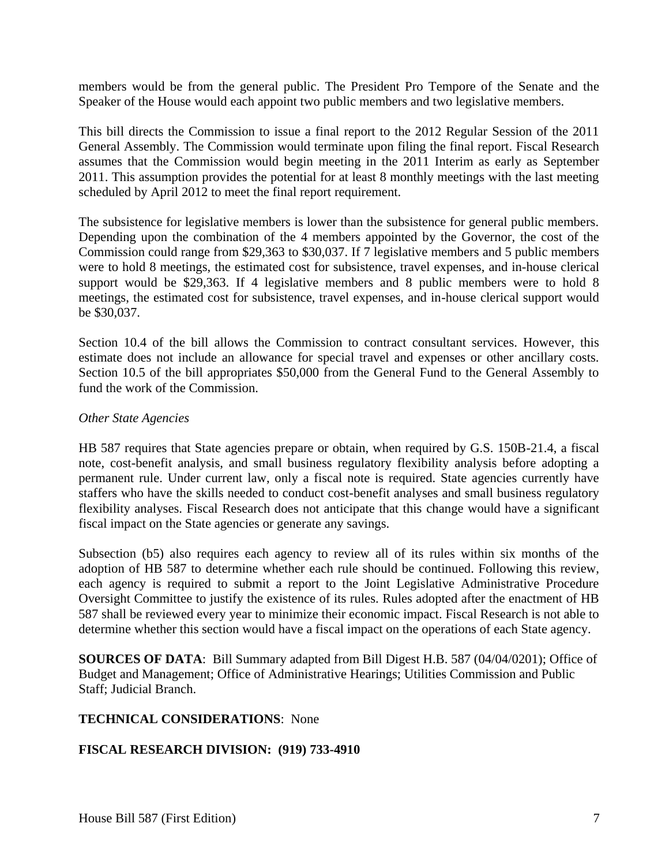members would be from the general public. The President Pro Tempore of the Senate and the Speaker of the House would each appoint two public members and two legislative members.

This bill directs the Commission to issue a final report to the 2012 Regular Session of the 2011 General Assembly. The Commission would terminate upon filing the final report. Fiscal Research assumes that the Commission would begin meeting in the 2011 Interim as early as September 2011. This assumption provides the potential for at least 8 monthly meetings with the last meeting scheduled by April 2012 to meet the final report requirement.

The subsistence for legislative members is lower than the subsistence for general public members. Depending upon the combination of the 4 members appointed by the Governor, the cost of the Commission could range from \$29,363 to \$30,037. If 7 legislative members and 5 public members were to hold 8 meetings, the estimated cost for subsistence, travel expenses, and in-house clerical support would be \$29,363. If 4 legislative members and 8 public members were to hold 8 meetings, the estimated cost for subsistence, travel expenses, and in-house clerical support would be \$30,037.

Section 10.4 of the bill allows the Commission to contract consultant services. However, this estimate does not include an allowance for special travel and expenses or other ancillary costs. Section 10.5 of the bill appropriates \$50,000 from the General Fund to the General Assembly to fund the work of the Commission.

### *Other State Agencies*

HB 587 requires that State agencies prepare or obtain, when required by G.S. 150B-21.4, a fiscal note, cost-benefit analysis, and small business regulatory flexibility analysis before adopting a permanent rule. Under current law, only a fiscal note is required. State agencies currently have staffers who have the skills needed to conduct cost-benefit analyses and small business regulatory flexibility analyses. Fiscal Research does not anticipate that this change would have a significant fiscal impact on the State agencies or generate any savings.

Subsection (b5) also requires each agency to review all of its rules within six months of the adoption of HB 587 to determine whether each rule should be continued. Following this review, each agency is required to submit a report to the Joint Legislative Administrative Procedure Oversight Committee to justify the existence of its rules. Rules adopted after the enactment of HB 587 shall be reviewed every year to minimize their economic impact. Fiscal Research is not able to determine whether this section would have a fiscal impact on the operations of each State agency.

**SOURCES OF DATA**: Bill Summary adapted from Bill Digest H.B. 587 (04/04/0201); Office of Budget and Management; Office of Administrative Hearings; Utilities Commission and Public Staff; Judicial Branch.

#### **TECHNICAL CONSIDERATIONS**: None

# **FISCAL RESEARCH DIVISION: (919) 733-4910**